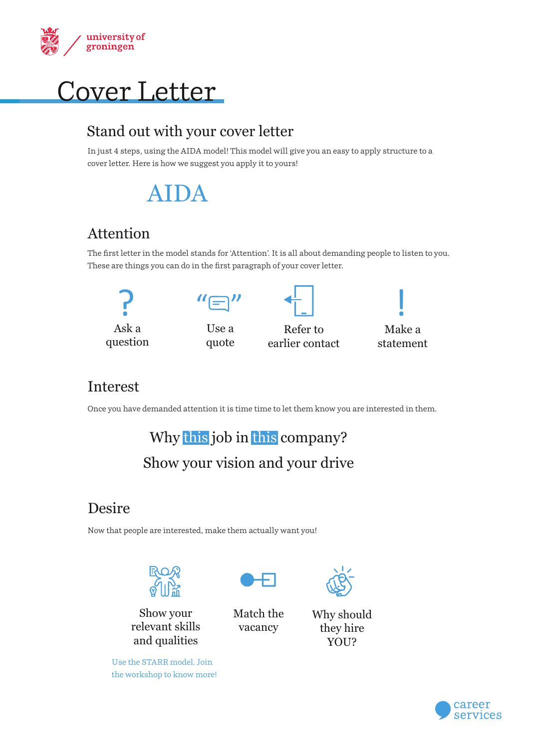



### Stand out with your cover letter

In just 4 steps, using the AIDA model! This model will give you an easy to apply structure to a cover letter. Here is how we suggest you apply it to yours!

## AIDA

## Attention

The first letter in the model stands for 'Attention'. It is all about demanding people to listen to you. These are things you can do in the first paragraph of your cover letter.



## Interest

Once you have demanded attention it is time time to let them know you are interested in them.

Why this job in this company? Show your vision and your drive

## Desire

Now that people are interested, make them actually want you!



Show your relevant skills and qualities

Use the STARR model. Join the workshop to know more!



Match the vacancy



Why should they hire YOU?